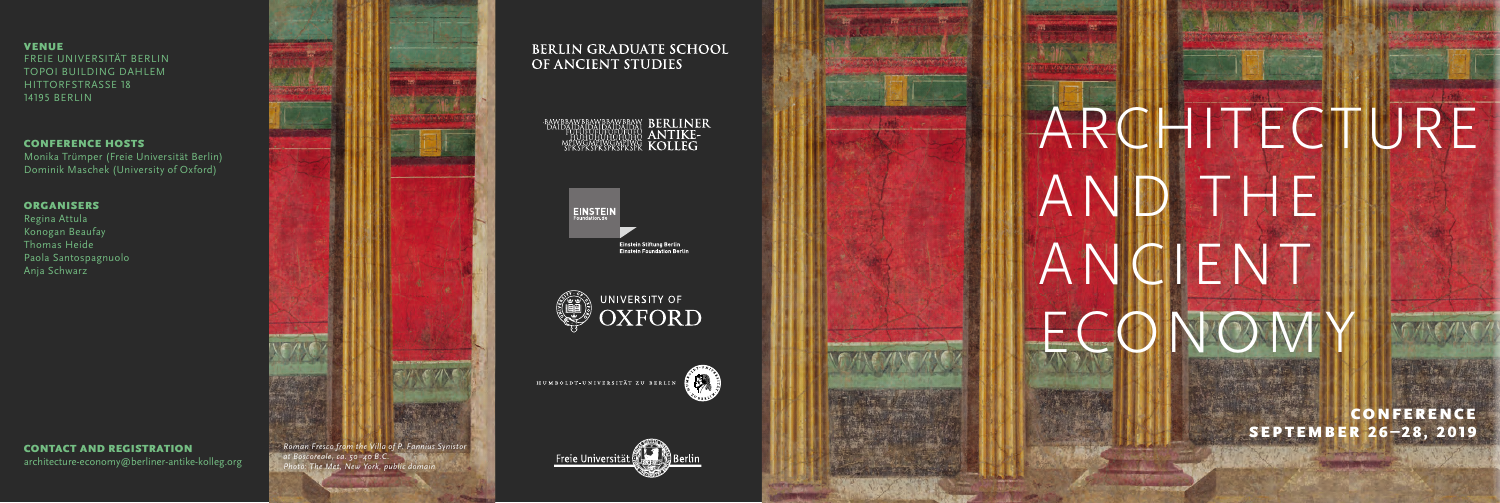# ARCHITECTURE AND THE ANCIENT ECONOMY

#### VENUE

FREIE UNIVERSITÄT BERLIN TOPOI BUILDING DAHLEM HITTORFSTRASSE 18 14195 BERLIN

#### CONFERENCE HOSTS

Monika Trümper (Freie Universität Berlin) Dominik Maschek (University of Oxford)

#### **ORGANISERS**

Regina Attula Konogan Beaufay Thomas Heide Paola Santospagnuolo Anja Schwarz

> CONFERENCE SEPTEMBER 26–28, 2019





*at Boscoreale, ca. 50–40 B.C. Photo: The Met, New York, public domain* 

## **BERLIN GRADUATE SCHOOL** OF ANCIENT STUDIES

## SPANERANERANERAN BERLINER



Einstein Stiftung Berlin<br>Einstein Foundation Berlin